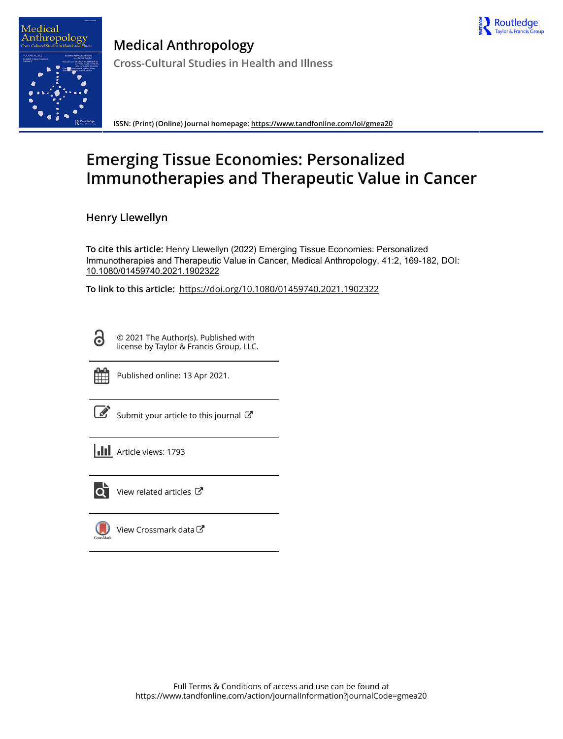



**Medical Anthropology Cross-Cultural Studies in Health and Illness**

**ISSN: (Print) (Online) Journal homepage:<https://www.tandfonline.com/loi/gmea20>**

# **Emerging Tissue Economies: Personalized Immunotherapies and Therapeutic Value in Cancer**

**Henry Llewellyn**

**To cite this article:** Henry Llewellyn (2022) Emerging Tissue Economies: Personalized Immunotherapies and Therapeutic Value in Cancer, Medical Anthropology, 41:2, 169-182, DOI: [10.1080/01459740.2021.1902322](https://www.tandfonline.com/action/showCitFormats?doi=10.1080/01459740.2021.1902322)

**To link to this article:** <https://doi.org/10.1080/01459740.2021.1902322>

ര

© 2021 The Author(s). Published with license by Taylor & Francis Group, LLC.



Published online: 13 Apr 2021.

|--|

[Submit your article to this journal](https://www.tandfonline.com/action/authorSubmission?journalCode=gmea20&show=instructions)  $\mathbb{Z}$ 

**III** Article views: 1793



 $\overrightarrow{Q}$  [View related articles](https://www.tandfonline.com/doi/mlt/10.1080/01459740.2021.1902322)  $\overrightarrow{C}$ 

[View Crossmark data](http://crossmark.crossref.org/dialog/?doi=10.1080/01459740.2021.1902322&domain=pdf&date_stamp=2021-04-13) $\mathbb{Z}$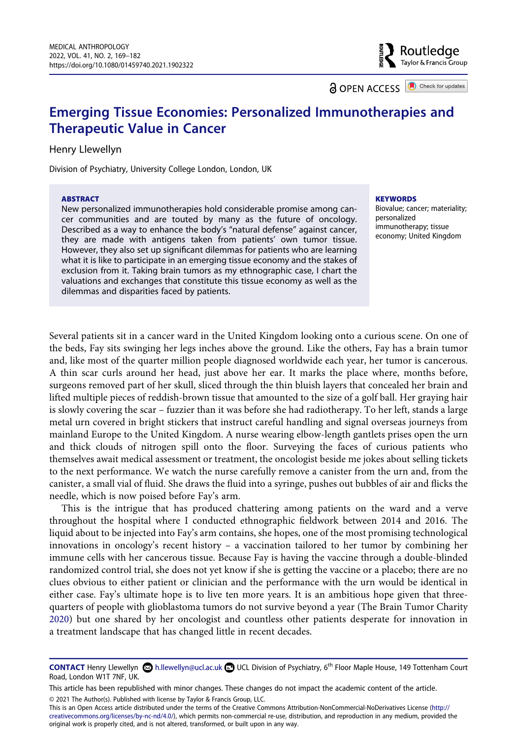Routledae Taylor & Francis Group

**a** OPEN ACCESS **a** Check for updates

# **Emerging Tissue Economies: Personalized Immunotherapies and Therapeutic Value in Cancer**

#### Henry Llewellyn

Division of Psychiatry, University College London, London, UK

#### **ABSTRACT**

New personalized immunotherapies hold considerable promise among cancer communities and are touted by many as the future of oncology. Described as a way to enhance the body's "natural defense" against cancer, they are made with antigens taken from patients' own tumor tissue. However, they also set up significant dilemmas for patients who are learning what it is like to participate in an emerging tissue economy and the stakes of exclusion from it. Taking brain tumors as my ethnographic case, I chart the valuations and exchanges that constitute this tissue economy as well as the dilemmas and disparities faced by patients.

#### **KEYWORDS**

Biovalue; cancer; materiality; personalized immunotherapy; tissue economy; United Kingdom

Several patients sit in a cancer ward in the United Kingdom looking onto a curious scene. On one of the beds, Fay sits swinging her legs inches above the ground. Like the others, Fay has a brain tumor and, like most of the quarter million people diagnosed worldwide each year, her tumor is cancerous. A thin scar curls around her head, just above her ear. It marks the place where, months before, surgeons removed part of her skull, sliced through the thin bluish layers that concealed her brain and lifted multiple pieces of reddish-brown tissue that amounted to the size of a golf ball. Her graying hair is slowly covering the scar – fuzzier than it was before she had radiotherapy. To her left, stands a large metal urn covered in bright stickers that instruct careful handling and signal overseas journeys from mainland Europe to the United Kingdom. A nurse wearing elbow-length gantlets prises open the urn and thick clouds of nitrogen spill onto the floor. Surveying the faces of curious patients who themselves await medical assessment or treatment, the oncologist beside me jokes about selling tickets to the next performance. We watch the nurse carefully remove a canister from the urn and, from the canister, a small vial of fluid. She draws the fluid into a syringe, pushes out bubbles of air and flicks the needle, which is now poised before Fay's arm.

This is the intrigue that has produced chattering among patients on the ward and a verve throughout the hospital where I conducted ethnographic fieldwork between 2014 and 2016. The liquid about to be injected into Fay's arm contains, she hopes, one of the most promising technological innovations in oncology's recent history – a vaccination tailored to her tumor by combining her immune cells with her cancerous tissue. Because Fay is having the vaccine through a double-blinded randomized control trial, she does not yet know if she is getting the vaccine or a placebo; there are no clues obvious to either patient or clinician and the performance with the urn would be identical in either case. Fay's ultimate hope is to live ten more years. It is an ambitious hope given that threequarters of people with glioblastoma tumors do not survive beyond a year (The Brain Tumor Charity [2020](#page-14-0)) but one shared by her oncologist and countless other patients desperate for innovation in a treatment landscape that has changed little in recent decades.

© 2021 The Author(s). Published with license by Taylor & Francis Group, LLC.

This is an Open Access article distributed under the terms of the Creative Commons Attribution-NonCommercial-NoDerivatives License (http:// creativecommons.org/licenses/by-nc-nd/4.0/), which permits non-commercial re-use, distribution, and reproduction in any medium, provided the original work is properly cited, and is not altered, transformed, or built upon in any way.

<span id="page-1-0"></span>**CONTACT** Henry Llewellyn h.llewellyn@ucl.ac.uk UCL Division of Psychiatry, 6th Floor Maple House, 149 Tottenham Court Road, London W1T 7NF, UK.

This article has been republished with minor changes. These changes do not impact the academic content of the article.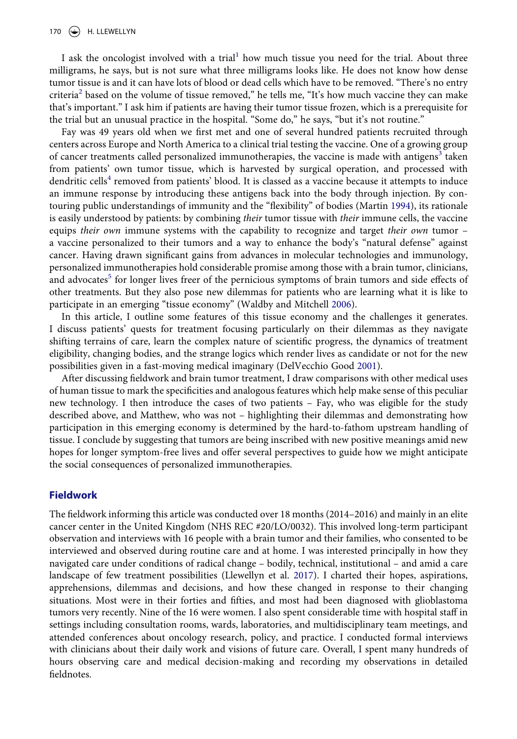I ask the oncologist involved with a trial<sup>1</sup> how much tissue you need for the trial. About three milligrams, he says, but is not sure what three milligrams looks like. He does not know how dense tumor tissue is and it can have lots of blood or dead cells which have to be removed. "There's no entry criteria<sup>[2](#page-12-1)</sup> based on the volume of tissue removed," he tells me, "It's how much vaccine they can make that's important." I ask him if patients are having their tumor tissue frozen, which is a prerequisite for the trial but an unusual practice in the hospital. "Some do," he says, "but it's not routine."

<span id="page-2-2"></span>Fay was 49 years old when we first met and one of several hundred patients recruited through centers across Europe and North America to a clinical trial testing the vaccine. One of a growing group of cancer treatments called personalized immunotherapies, the vaccine is made with antigens<sup>[3](#page-12-2)</sup> taken from patients' own tumor tissue, which is harvested by surgical operation, and processed with dendritic cells<sup>[4](#page-12-3)</sup> removed from patients' blood. It is classed as a vaccine because it attempts to induce an immune response by introducing these antigens back into the body through injection. By contouring public understandings of immunity and the "flexibility" of bodies (Martin [1994](#page-13-0)), its rationale is easily understood by patients: by combining *their* tumor tissue with *their* immune cells, the vaccine equips *their own* immune systems with the capability to recognize and target *their own* tumor – a vaccine personalized to their tumors and a way to enhance the body's "natural defense" against cancer. Having drawn significant gains from advances in molecular technologies and immunology, personalized immunotherapies hold considerable promise among those with a brain tumor, clinicians, and advocates<sup>5</sup> for longer lives freer of the pernicious symptoms of brain tumors and side effects of other treatments. But they also pose new dilemmas for patients who are learning what it is like to participate in an emerging "tissue economy" (Waldby and Mitchell [2006](#page-14-1)).

<span id="page-2-3"></span>In this article, I outline some features of this tissue economy and the challenges it generates. I discuss patients' quests for treatment focusing particularly on their dilemmas as they navigate shifting terrains of care, learn the complex nature of scientific progress, the dynamics of treatment eligibility, changing bodies, and the strange logics which render lives as candidate or not for the new possibilities given in a fast-moving medical imaginary (DelVecchio Good [2001](#page-13-1)).

<span id="page-2-0"></span>After discussing fieldwork and brain tumor treatment, I draw comparisons with other medical uses of human tissue to mark the specificities and analogous features which help make sense of this peculiar new technology. I then introduce the cases of two patients – Fay, who was eligible for the study described above, and Matthew, who was not – highlighting their dilemmas and demonstrating how participation in this emerging economy is determined by the hard-to-fathom upstream handling of tissue. I conclude by suggesting that tumors are being inscribed with new positive meanings amid new hopes for longer symptom-free lives and offer several perspectives to guide how we might anticipate the social consequences of personalized immunotherapies.

#### **Fieldwork**

<span id="page-2-1"></span>The fieldwork informing this article was conducted over 18 months (2014–2016) and mainly in an elite cancer center in the United Kingdom (NHS REC #20/LO/0032). This involved long-term participant observation and interviews with 16 people with a brain tumor and their families, who consented to be interviewed and observed during routine care and at home. I was interested principally in how they navigated care under conditions of radical change – bodily, technical, institutional – and amid a care landscape of few treatment possibilities (Llewellyn et al. [2017](#page-13-2)). I charted their hopes, aspirations, apprehensions, dilemmas and decisions, and how these changed in response to their changing situations. Most were in their forties and fifties, and most had been diagnosed with glioblastoma tumors very recently. Nine of the 16 were women. I also spent considerable time with hospital staff in settings including consultation rooms, wards, laboratories, and multidisciplinary team meetings, and attended conferences about oncology research, policy, and practice. I conducted formal interviews with clinicians about their daily work and visions of future care. Overall, I spent many hundreds of hours observing care and medical decision-making and recording my observations in detailed fieldnotes.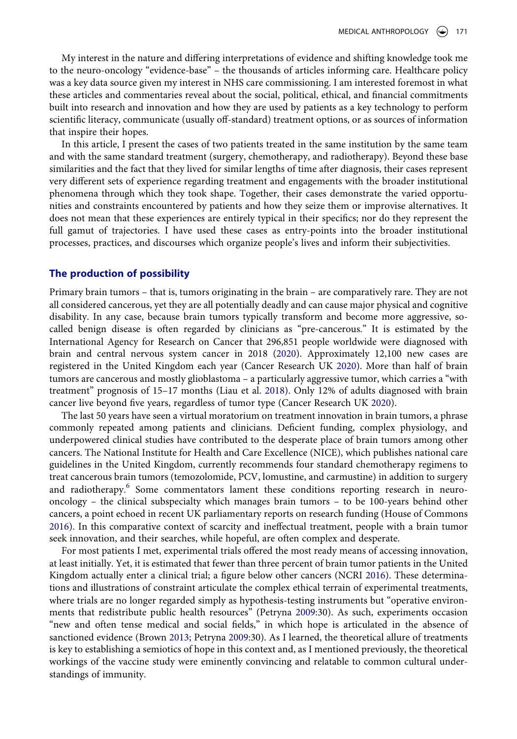My interest in the nature and differing interpretations of evidence and shifting knowledge took me to the neuro-oncology "evidence-base" – the thousands of articles informing care. Healthcare policy was a key data source given my interest in NHS care commissioning. I am interested foremost in what these articles and commentaries reveal about the social, political, ethical, and financial commitments built into research and innovation and how they are used by patients as a key technology to perform scientific literacy, communicate (usually off-standard) treatment options, or as sources of information that inspire their hopes.

In this article, I present the cases of two patients treated in the same institution by the same team and with the same standard treatment (surgery, chemotherapy, and radiotherapy). Beyond these base similarities and the fact that they lived for similar lengths of time after diagnosis, their cases represent very different sets of experience regarding treatment and engagements with the broader institutional phenomena through which they took shape. Together, their cases demonstrate the varied opportunities and constraints encountered by patients and how they seize them or improvise alternatives. It does not mean that these experiences are entirely typical in their specifics; nor do they represent the full gamut of trajectories. I have used these cases as entry-points into the broader institutional processes, practices, and discourses which organize people's lives and inform their subjectivities.

#### **The production of possibility**

<span id="page-3-3"></span>Primary brain tumors – that is, tumors originating in the brain – are comparatively rare. They are not all considered cancerous, yet they are all potentially deadly and can cause major physical and cognitive disability. In any case, because brain tumors typically transform and become more aggressive, socalled benign disease is often regarded by clinicians as "pre-cancerous." It is estimated by the International Agency for Research on Cancer that 296,851 people worldwide were diagnosed with brain and central nervous system cancer in 2018 ([2020\)](#page-13-3). Approximately 12,100 new cases are registered in the United Kingdom each year (Cancer Research UK [2020](#page-13-4)). More than half of brain tumors are cancerous and mostly glioblastoma – a particularly aggressive tumor, which carries a "with treatment" prognosis of 15–17 months (Liau et al. [2018](#page-13-5)). Only 12% of adults diagnosed with brain cancer live beyond five years, regardless of tumor type (Cancer Research UK [2020](#page-13-4)).

<span id="page-3-4"></span><span id="page-3-1"></span>The last 50 years have seen a virtual moratorium on treatment innovation in brain tumors, a phrase commonly repeated among patients and clinicians. Deficient funding, complex physiology, and underpowered clinical studies have contributed to the desperate place of brain tumors among other cancers. The National Institute for Health and Care Excellence (NICE), which publishes national care guidelines in the United Kingdom, currently recommends four standard chemotherapy regimens to treat cancerous brain tumors (temozolomide, PCV, lomustine, and carmustine) in addition to surgery and radiotherapy.<sup>[6](#page-12-5)</sup> Some commentators lament these conditions reporting research in neurooncology – the clinical subspecialty which manages brain tumors – to be 100-years behind other cancers, a point echoed in recent UK parliamentary reports on research funding (House of Commons [2016](#page-13-6)). In this comparative context of scarcity and ineffectual treatment, people with a brain tumor seek innovation, and their searches, while hopeful, are often complex and desperate.

<span id="page-3-5"></span><span id="page-3-2"></span><span id="page-3-0"></span>For most patients I met, experimental trials offered the most ready means of accessing innovation, at least initially. Yet, it is estimated that fewer than three percent of brain tumor patients in the United Kingdom actually enter a clinical trial; a figure below other cancers (NCRI [2016\)](#page-13-7). These determinations and illustrations of constraint articulate the complex ethical terrain of experimental treatments, where trials are no longer regarded simply as hypothesis-testing instruments but "operative environments that redistribute public health resources" (Petryna [2009](#page-14-2):30). As such, experiments occasion "new and often tense medical and social fields," in which hope is articulated in the absence of sanctioned evidence (Brown [2013](#page-13-8); Petryna [2009](#page-14-2):30). As I learned, the theoretical allure of treatments is key to establishing a semiotics of hope in this context and, as I mentioned previously, the theoretical workings of the vaccine study were eminently convincing and relatable to common cultural understandings of immunity.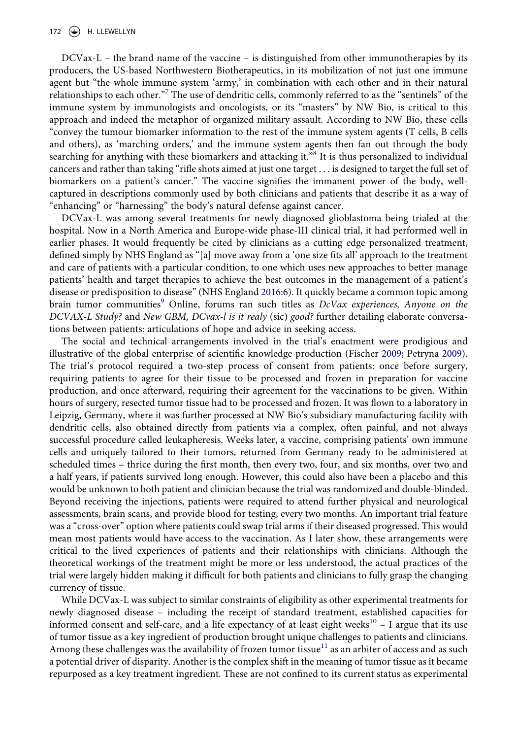DCVax-L – the brand name of the vaccine – is distinguished from other immunotherapies by its producers, the US-based Northwestern Biotherapeutics, in its mobilization of not just one immune agent but "the whole immune system 'army,' in combination with each other and in their natural relationships to each other."<sup>[7](#page-12-6)</sup> The use of dendritic cells, commonly referred to as the "sentinels" of the immune system by immunologists and oncologists, or its "masters" by NW Bio, is critical to this approach and indeed the metaphor of organized military assault. According to NW Bio, these cells "convey the tumour biomarker information to the rest of the immune system agents (T cells, B cells and others), as 'marching orders,' and the immune system agents then fan out through the body searching for anything with these biomarkers and attacking it."<sup>8</sup> It is thus personalized to individual cancers and rather than taking "rifle shots aimed at just one target . . . is designed to target the full set of biomarkers on a patient's cancer." The vaccine signifies the immanent power of the body, wellcaptured in descriptions commonly used by both clinicians and patients that describe it as a way of "enhancing" or "harnessing" the body's natural defense against cancer.

DCVax-L was among several treatments for newly diagnosed glioblastoma being trialed at the hospital. Now in a North America and Europe-wide phase-III clinical trial, it had performed well in earlier phases. It would frequently be cited by clinicians as a cutting edge personalized treatment, defined simply by NHS England as "[a] move away from a 'one size fits all' approach to the treatment and care of patients with a particular condition, to one which uses new approaches to better manage patients' health and target therapies to achieve the best outcomes in the management of a patient's disease or predisposition to disease" (NHS England [2016:](#page-14-3)6). It quickly became a common topic among brain tumor communities<sup>[9](#page-12-8)</sup> Online, forums ran such titles as *DcVax experiences*, Anyone on the *DCVAX-L Study?* and *New GBM, DCvax-l is it realy* (sic) *good?* further detailing elaborate conversations between patients: articulations of hope and advice in seeking access.

<span id="page-4-1"></span><span id="page-4-0"></span>The social and technical arrangements involved in the trial's enactment were prodigious and illustrative of the global enterprise of scientific knowledge production (Fischer [2009](#page-13-9); Petryna [2009](#page-14-2)). The trial's protocol required a two-step process of consent from patients: once before surgery, requiring patients to agree for their tissue to be processed and frozen in preparation for vaccine production, and once afterward, requiring their agreement for the vaccinations to be given. Within hours of surgery, resected tumor tissue had to be processed and frozen. It was flown to a laboratory in Leipzig, Germany, where it was further processed at NW Bio's subsidiary manufacturing facility with dendritic cells, also obtained directly from patients via a complex, often painful, and not always successful procedure called leukapheresis. Weeks later, a vaccine, comprising patients' own immune cells and uniquely tailored to their tumors, returned from Germany ready to be administered at scheduled times – thrice during the first month, then every two, four, and six months, over two and a half years, if patients survived long enough. However, this could also have been a placebo and this would be unknown to both patient and clinician because the trial was randomized and double-blinded. Beyond receiving the injections, patients were required to attend further physical and neurological assessments, brain scans, and provide blood for testing, every two months. An important trial feature was a "cross-over" option where patients could swap trial arms if their diseased progressed. This would mean most patients would have access to the vaccination. As I later show, these arrangements were critical to the lived experiences of patients and their relationships with clinicians. Although the theoretical workings of the treatment might be more or less understood, the actual practices of the trial were largely hidden making it difficult for both patients and clinicians to fully grasp the changing currency of tissue.

While DCVax-L was subject to similar constraints of eligibility as other experimental treatments for newly diagnosed disease – including the receipt of standard treatment, established capacities for informed consent and self-care, and a life expectancy of at least eight weeks<sup>[10](#page-12-9)</sup> – I argue that its use of tumor tissue as a key ingredient of production brought unique challenges to patients and clinicians. Among these challenges was the availability of frozen tumor tissue<sup>11</sup> as an arbiter of access and as such a potential driver of disparity. Another is the complex shift in the meaning of tumor tissue as it became repurposed as a key treatment ingredient. These are not confined to its current status as experimental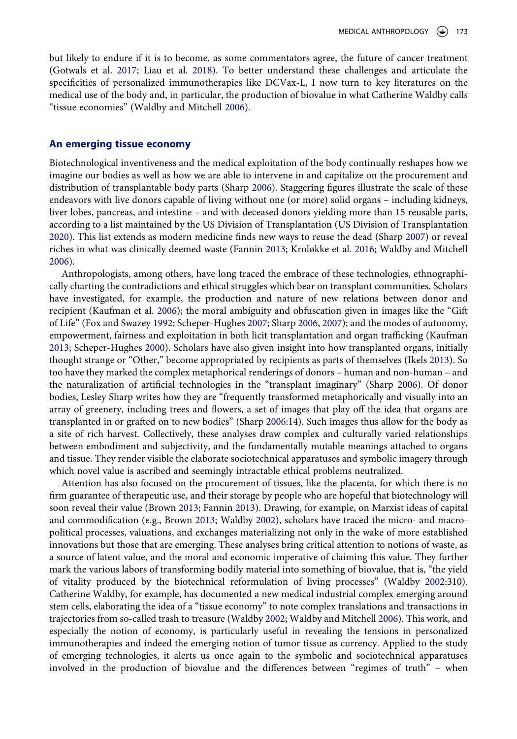<span id="page-5-2"></span>but likely to endure if it is to become, as some commentators agree, the future of cancer treatment (Gotwals et al. [2017](#page-13-10); Liau et al. [2018\)](#page-13-5). To better understand these challenges and articulate the specificities of personalized immunotherapies like DCVax-L, I now turn to key literatures on the medical use of the body and, in particular, the production of biovalue in what Catherine Waldby calls "tissue economies" (Waldby and Mitchell [2006](#page-14-1)).

#### **An emerging tissue economy**

Biotechnological inventiveness and the medical exploitation of the body continually reshapes how we imagine our bodies as well as how we are able to intervene in and capitalize on the procurement and distribution of transplantable body parts (Sharp [2006\)](#page-14-4). Staggering figures illustrate the scale of these endeavors with live donors capable of living without one (or more) solid organs – including kidneys, liver lobes, pancreas, and intestine – and with deceased donors yielding more than 15 reusable parts, according to a list maintained by the US Division of Transplantation (US Division of Transplantation [2020](#page-14-5)). This list extends as modern medicine finds new ways to reuse the dead (Sharp [2007\)](#page-14-6) or reveal riches in what was clinically deemed waste (Fannin [2013](#page-13-11); Kroløkke et al. [2016;](#page-13-12) Waldby and Mitchell [2006](#page-14-1)).

<span id="page-5-9"></span><span id="page-5-7"></span><span id="page-5-6"></span><span id="page-5-5"></span><span id="page-5-4"></span><span id="page-5-3"></span><span id="page-5-1"></span>Anthropologists, among others, have long traced the embrace of these technologies, ethnographically charting the contradictions and ethical struggles which bear on transplant communities. Scholars have investigated, for example, the production and nature of new relations between donor and recipient (Kaufman et al. [2006](#page-13-13)); the moral ambiguity and obfuscation given in images like the "Gift of Life" (Fox and Swazey [1992](#page-13-14); Scheper-Hughes [2007](#page-14-7); Sharp [2006,](#page-14-4) [2007](#page-14-6)); and the modes of autonomy, empowerment, fairness and exploitation in both licit transplantation and organ trafficking (Kaufman [2013](#page-13-15); Scheper-Hughes [2000\)](#page-14-8). Scholars have also given insight into how transplanted organs, initially thought strange or "Other," become appropriated by recipients as parts of themselves (Ikels [2013\)](#page-13-16). So too have they marked the complex metaphorical renderings of donors – human and non-human – and the naturalization of artificial technologies in the "transplant imaginary" (Sharp [2006\)](#page-14-4). Of donor bodies, Lesley Sharp writes how they are "frequently transformed metaphorically and visually into an array of greenery, including trees and flowers, a set of images that play off the idea that organs are transplanted in or grafted on to new bodies" (Sharp [2006:](#page-14-4)14). Such images thus allow for the body as a site of rich harvest. Collectively, these analyses draw complex and culturally varied relationships between embodiment and subjectivity, and the fundamentally mutable meanings attached to organs and tissue. They render visible the elaborate sociotechnical apparatuses and symbolic imagery through which novel value is ascribed and seemingly intractable ethical problems neutralized.

<span id="page-5-10"></span><span id="page-5-8"></span><span id="page-5-0"></span>Attention has also focused on the procurement of tissues, like the placenta, for which there is no firm guarantee of therapeutic use, and their storage by people who are hopeful that biotechnology will soon reveal their value (Brown [2013](#page-13-8); Fannin [2013\)](#page-13-11). Drawing, for example, on Marxist ideas of capital and commodification (e.g., Brown [2013;](#page-13-8) Waldby [2002\)](#page-14-9), scholars have traced the micro- and macropolitical processes, valuations, and exchanges materializing not only in the wake of more established innovations but those that are emerging. These analyses bring critical attention to notions of waste, as a source of latent value, and the moral and economic imperative of claiming this value. They further mark the various labors of transforming bodily material into something of biovalue, that is, "the yield of vitality produced by the biotechnical reformulation of living processes" (Waldby [2002:](#page-14-9)310). Catherine Waldby, for example, has documented a new medical industrial complex emerging around stem cells, elaborating the idea of a "tissue economy" to note complex translations and transactions in trajectories from so-called trash to treasure (Waldby [2002;](#page-14-9) Waldby and Mitchell [2006](#page-14-1)). This work, and especially the notion of economy, is particularly useful in revealing the tensions in personalized immunotherapies and indeed the emerging notion of tumor tissue as currency. Applied to the study of emerging technologies, it alerts us once again to the symbolic and sociotechnical apparatuses involved in the production of biovalue and the differences between "regimes of truth" – when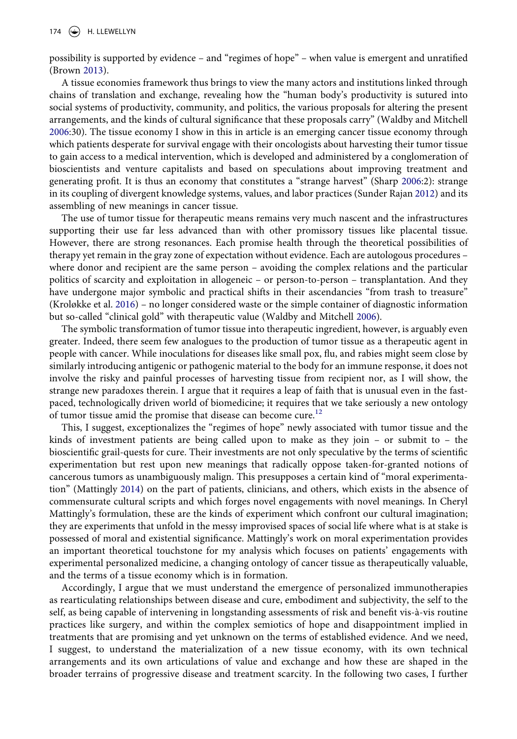possibility is supported by evidence – and "regimes of hope" – when value is emergent and unratified (Brown [2013](#page-13-8)).

A tissue economies framework thus brings to view the many actors and institutions linked through chains of translation and exchange, revealing how the "human body's productivity is sutured into social systems of productivity, community, and politics, the various proposals for altering the present arrangements, and the kinds of cultural significance that these proposals carry" (Waldby and Mitchell [2006](#page-14-1):30). The tissue economy I show in this in article is an emerging cancer tissue economy through which patients desperate for survival engage with their oncologists about harvesting their tumor tissue to gain access to a medical intervention, which is developed and administered by a conglomeration of bioscientists and venture capitalists and based on speculations about improving treatment and generating profit. It is thus an economy that constitutes a "strange harvest" (Sharp [2006:](#page-14-4)2): strange in its coupling of divergent knowledge systems, values, and labor practices (Sunder Rajan [2012\)](#page-14-10) and its assembling of new meanings in cancer tissue.

<span id="page-6-1"></span>The use of tumor tissue for therapeutic means remains very much nascent and the infrastructures supporting their use far less advanced than with other promissory tissues like placental tissue. However, there are strong resonances. Each promise health through the theoretical possibilities of therapy yet remain in the gray zone of expectation without evidence. Each are autologous procedures – where donor and recipient are the same person – avoiding the complex relations and the particular politics of scarcity and exploitation in allogeneic – or person-to-person – transplantation. And they have undergone major symbolic and practical shifts in their ascendancies "from trash to treasure" (Kroløkke et al. [2016\)](#page-13-12) – no longer considered waste or the simple container of diagnostic information but so-called "clinical gold" with therapeutic value (Waldby and Mitchell [2006\)](#page-14-1).

The symbolic transformation of tumor tissue into therapeutic ingredient, however, is arguably even greater. Indeed, there seem few analogues to the production of tumor tissue as a therapeutic agent in people with cancer. While inoculations for diseases like small pox, flu, and rabies might seem close by similarly introducing antigenic or pathogenic material to the body for an immune response, it does not involve the risky and painful processes of harvesting tissue from recipient nor, as I will show, the strange new paradoxes therein. I argue that it requires a leap of faith that is unusual even in the fastpaced, technologically driven world of biomedicine; it requires that we take seriously a new ontology of tumor tissue amid the promise that disease can become cure.<sup>[12](#page-12-11)</sup>

<span id="page-6-0"></span>This, I suggest, exceptionalizes the "regimes of hope" newly associated with tumor tissue and the kinds of investment patients are being called upon to make as they join – or submit to – the bioscientific grail-quests for cure. Their investments are not only speculative by the terms of scientific experimentation but rest upon new meanings that radically oppose taken-for-granted notions of cancerous tumors as unambiguously malign. This presupposes a certain kind of "moral experimentation" (Mattingly [2014\)](#page-13-17) on the part of patients, clinicians, and others, which exists in the absence of commensurate cultural scripts and which forges novel engagements with novel meanings. In Cheryl Mattingly's formulation, these are the kinds of experiment which confront our cultural imagination; they are experiments that unfold in the messy improvised spaces of social life where what is at stake is possessed of moral and existential significance. Mattingly's work on moral experimentation provides an important theoretical touchstone for my analysis which focuses on patients' engagements with experimental personalized medicine, a changing ontology of cancer tissue as therapeutically valuable, and the terms of a tissue economy which is in formation.

Accordingly, I argue that we must understand the emergence of personalized immunotherapies as rearticulating relationships between disease and cure, embodiment and subjectivity, the self to the self, as being capable of intervening in longstanding assessments of risk and benefit vis-à-vis routine practices like surgery, and within the complex semiotics of hope and disappointment implied in treatments that are promising and yet unknown on the terms of established evidence. And we need, I suggest, to understand the materialization of a new tissue economy, with its own technical arrangements and its own articulations of value and exchange and how these are shaped in the broader terrains of progressive disease and treatment scarcity. In the following two cases, I further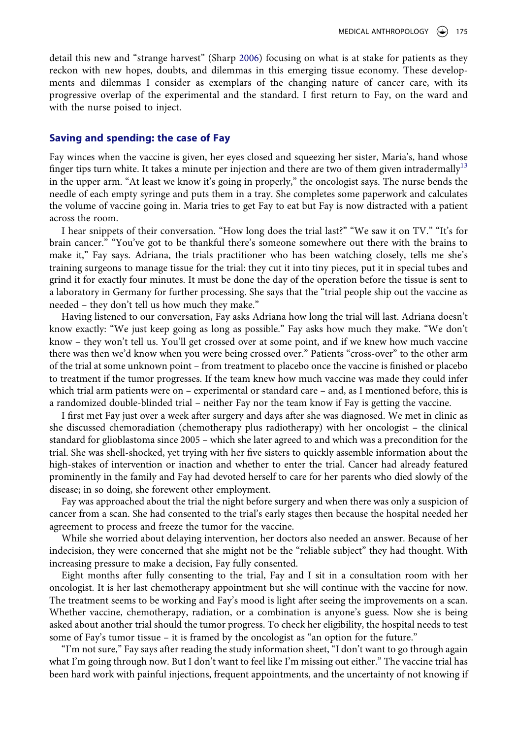detail this new and "strange harvest" (Sharp [2006](#page-14-4)) focusing on what is at stake for patients as they reckon with new hopes, doubts, and dilemmas in this emerging tissue economy. These developments and dilemmas I consider as exemplars of the changing nature of cancer care, with its progressive overlap of the experimental and the standard. I first return to Fay, on the ward and with the nurse poised to inject.

#### **Saving and spending: the case of Fay**

Fay winces when the vaccine is given, her eyes closed and squeezing her sister, Maria's, hand whose finger tips turn white. It takes a minute per injection and there are two of them given intradermally<sup>13</sup> in the upper arm. "At least we know it's going in properly," the oncologist says. The nurse bends the needle of each empty syringe and puts them in a tray. She completes some paperwork and calculates the volume of vaccine going in. Maria tries to get Fay to eat but Fay is now distracted with a patient across the room.

I hear snippets of their conversation. "How long does the trial last?" "We saw it on TV." "It's for brain cancer." "You've got to be thankful there's someone somewhere out there with the brains to make it," Fay says. Adriana, the trials practitioner who has been watching closely, tells me she's training surgeons to manage tissue for the trial: they cut it into tiny pieces, put it in special tubes and grind it for exactly four minutes. It must be done the day of the operation before the tissue is sent to a laboratory in Germany for further processing. She says that the "trial people ship out the vaccine as needed – they don't tell us how much they make."

Having listened to our conversation, Fay asks Adriana how long the trial will last. Adriana doesn't know exactly: "We just keep going as long as possible." Fay asks how much they make. "We don't know – they won't tell us. You'll get crossed over at some point, and if we knew how much vaccine there was then we'd know when you were being crossed over." Patients "cross-over" to the other arm of the trial at some unknown point – from treatment to placebo once the vaccine is finished or placebo to treatment if the tumor progresses. If the team knew how much vaccine was made they could infer which trial arm patients were on – experimental or standard care – and, as I mentioned before, this is a randomized double-blinded trial – neither Fay nor the team know if Fay is getting the vaccine.

I first met Fay just over a week after surgery and days after she was diagnosed. We met in clinic as she discussed chemoradiation (chemotherapy plus radiotherapy) with her oncologist – the clinical standard for glioblastoma since 2005 – which she later agreed to and which was a precondition for the trial. She was shell-shocked, yet trying with her five sisters to quickly assemble information about the high-stakes of intervention or inaction and whether to enter the trial. Cancer had already featured prominently in the family and Fay had devoted herself to care for her parents who died slowly of the disease; in so doing, she forewent other employment.

Fay was approached about the trial the night before surgery and when there was only a suspicion of cancer from a scan. She had consented to the trial's early stages then because the hospital needed her agreement to process and freeze the tumor for the vaccine.

While she worried about delaying intervention, her doctors also needed an answer. Because of her indecision, they were concerned that she might not be the "reliable subject" they had thought. With increasing pressure to make a decision, Fay fully consented.

Eight months after fully consenting to the trial, Fay and I sit in a consultation room with her oncologist. It is her last chemotherapy appointment but she will continue with the vaccine for now. The treatment seems to be working and Fay's mood is light after seeing the improvements on a scan. Whether vaccine, chemotherapy, radiation, or a combination is anyone's guess. Now she is being asked about another trial should the tumor progress. To check her eligibility, the hospital needs to test some of Fay's tumor tissue – it is framed by the oncologist as "an option for the future."

"I'm not sure," Fay says after reading the study information sheet, "I don't want to go through again what I'm going through now. But I don't want to feel like I'm missing out either." The vaccine trial has been hard work with painful injections, frequent appointments, and the uncertainty of not knowing if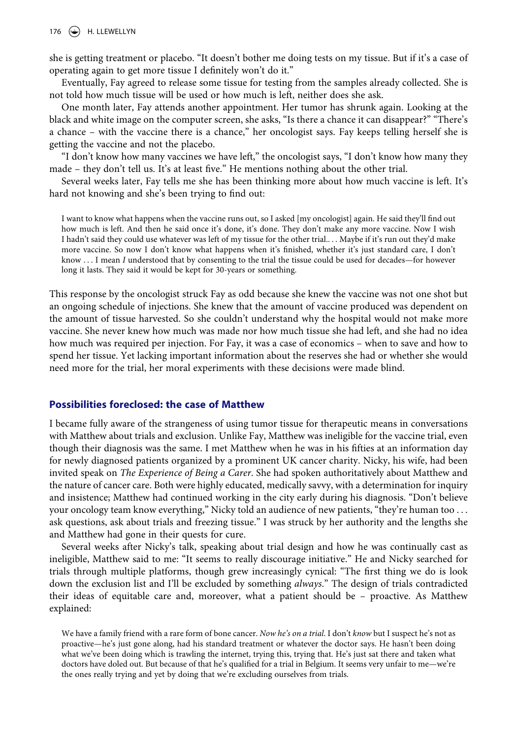176  $\left(\rightarrow\right)$  H. LLEWELLYN

she is getting treatment or placebo. "It doesn't bother me doing tests on my tissue. But if it's a case of operating again to get more tissue I definitely won't do it."

Eventually, Fay agreed to release some tissue for testing from the samples already collected. She is not told how much tissue will be used or how much is left, neither does she ask.

One month later, Fay attends another appointment. Her tumor has shrunk again. Looking at the black and white image on the computer screen, she asks, "Is there a chance it can disappear?" "There's a chance – with the vaccine there is a chance," her oncologist says. Fay keeps telling herself she is getting the vaccine and not the placebo.

"I don't know how many vaccines we have left," the oncologist says, "I don't know how many they made – they don't tell us. It's at least five." He mentions nothing about the other trial.

Several weeks later, Fay tells me she has been thinking more about how much vaccine is left. It's hard not knowing and she's been trying to find out:

I want to know what happens when the vaccine runs out, so I asked [my oncologist] again. He said they'll find out how much is left. And then he said once it's done, it's done. They don't make any more vaccine. Now I wish I hadn't said they could use whatever was left of my tissue for the other trial.. . . Maybe if it's run out they'd make more vaccine. So now I don't know what happens when it's finished, whether it's just standard care, I don't know . . . I mean *I* understood that by consenting to the trial the tissue could be used for decades—for however long it lasts. They said it would be kept for 30-years or something.

This response by the oncologist struck Fay as odd because she knew the vaccine was not one shot but an ongoing schedule of injections. She knew that the amount of vaccine produced was dependent on the amount of tissue harvested. So she couldn't understand why the hospital would not make more vaccine. She never knew how much was made nor how much tissue she had left, and she had no idea how much was required per injection. For Fay, it was a case of economics – when to save and how to spend her tissue. Yet lacking important information about the reserves she had or whether she would need more for the trial, her moral experiments with these decisions were made blind.

#### **Possibilities foreclosed: the case of Matthew**

I became fully aware of the strangeness of using tumor tissue for therapeutic means in conversations with Matthew about trials and exclusion. Unlike Fay, Matthew was ineligible for the vaccine trial, even though their diagnosis was the same. I met Matthew when he was in his fifties at an information day for newly diagnosed patients organized by a prominent UK cancer charity. Nicky, his wife, had been invited speak on *The Experience of Being a Carer*. She had spoken authoritatively about Matthew and the nature of cancer care. Both were highly educated, medically savvy, with a determination for inquiry and insistence; Matthew had continued working in the city early during his diagnosis. "Don't believe your oncology team know everything," Nicky told an audience of new patients, "they're human too ... ask questions, ask about trials and freezing tissue." I was struck by her authority and the lengths she and Matthew had gone in their quests for cure.

Several weeks after Nicky's talk, speaking about trial design and how he was continually cast as ineligible, Matthew said to me: "It seems to really discourage initiative." He and Nicky searched for trials through multiple platforms, though grew increasingly cynical: "The first thing we do is look down the exclusion list and I'll be excluded by something *always*." The design of trials contradicted their ideas of equitable care and, moreover, what a patient should be – proactive. As Matthew explained:

We have a family friend with a rare form of bone cancer. *Now he's on a trial*. I don't *know* but I suspect he's not as proactive—he's just gone along, had his standard treatment or whatever the doctor says. He hasn't been doing what we've been doing which is trawling the internet, trying this, trying that. He's just sat there and taken what doctors have doled out. But because of that he's qualified for a trial in Belgium. It seems very unfair to me—we're the ones really trying and yet by doing that we're excluding ourselves from trials.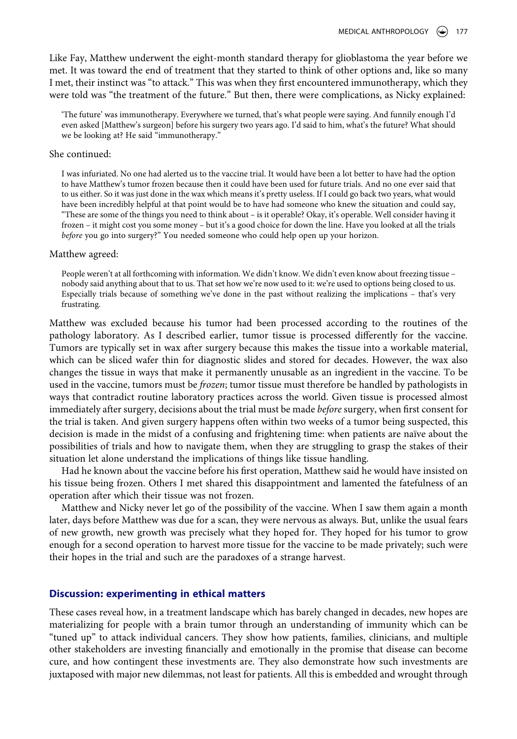Like Fay, Matthew underwent the eight-month standard therapy for glioblastoma the year before we met. It was toward the end of treatment that they started to think of other options and, like so many I met, their instinct was "to attack." This was when they first encountered immunotherapy, which they were told was "the treatment of the future." But then, there were complications, as Nicky explained:

'The future' was immunotherapy. Everywhere we turned, that's what people were saying. And funnily enough I'd even asked [Matthew's surgeon] before his surgery two years ago. I'd said to him, what's the future? What should we be looking at? He said "immunotherapy."

#### She continued:

I was infuriated. No one had alerted us to the vaccine trial. It would have been a lot better to have had the option to have Matthew's tumor frozen because then it could have been used for future trials. And no one ever said that to us either. So it was just done in the wax which means it's pretty useless. If I could go back two years, what would have been incredibly helpful at that point would be to have had someone who knew the situation and could say, "These are some of the things you need to think about – is it operable? Okay, it's operable. Well consider having it frozen – it might cost you some money – but it's a good choice for down the line. Have you looked at all the trials *before* you go into surgery?" You needed someone who could help open up your horizon.

#### Matthew agreed:

People weren't at all forthcoming with information. We didn't know. We didn't even know about freezing tissue – nobody said anything about that to us. That set how we're now used to it: we're used to options being closed to us. Especially trials because of something we've done in the past without realizing the implications – that's very frustrating.

Matthew was excluded because his tumor had been processed according to the routines of the pathology laboratory. As I described earlier, tumor tissue is processed differently for the vaccine. Tumors are typically set in wax after surgery because this makes the tissue into a workable material, which can be sliced wafer thin for diagnostic slides and stored for decades. However, the wax also changes the tissue in ways that make it permanently unusable as an ingredient in the vaccine. To be used in the vaccine, tumors must be *frozen*; tumor tissue must therefore be handled by pathologists in ways that contradict routine laboratory practices across the world. Given tissue is processed almost immediately after surgery, decisions about the trial must be made *before* surgery, when first consent for the trial is taken. And given surgery happens often within two weeks of a tumor being suspected, this decision is made in the midst of a confusing and frightening time: when patients are naïve about the possibilities of trials and how to navigate them, when they are struggling to grasp the stakes of their situation let alone understand the implications of things like tissue handling.

Had he known about the vaccine before his first operation, Matthew said he would have insisted on his tissue being frozen. Others I met shared this disappointment and lamented the fatefulness of an operation after which their tissue was not frozen.

Matthew and Nicky never let go of the possibility of the vaccine. When I saw them again a month later, days before Matthew was due for a scan, they were nervous as always. But, unlike the usual fears of new growth, new growth was precisely what they hoped for. They hoped for his tumor to grow enough for a second operation to harvest more tissue for the vaccine to be made privately; such were their hopes in the trial and such are the paradoxes of a strange harvest.

#### **Discussion: experimenting in ethical matters**

These cases reveal how, in a treatment landscape which has barely changed in decades, new hopes are materializing for people with a brain tumor through an understanding of immunity which can be "tuned up" to attack individual cancers. They show how patients, families, clinicians, and multiple other stakeholders are investing financially and emotionally in the promise that disease can become cure, and how contingent these investments are. They also demonstrate how such investments are juxtaposed with major new dilemmas, not least for patients. All this is embedded and wrought through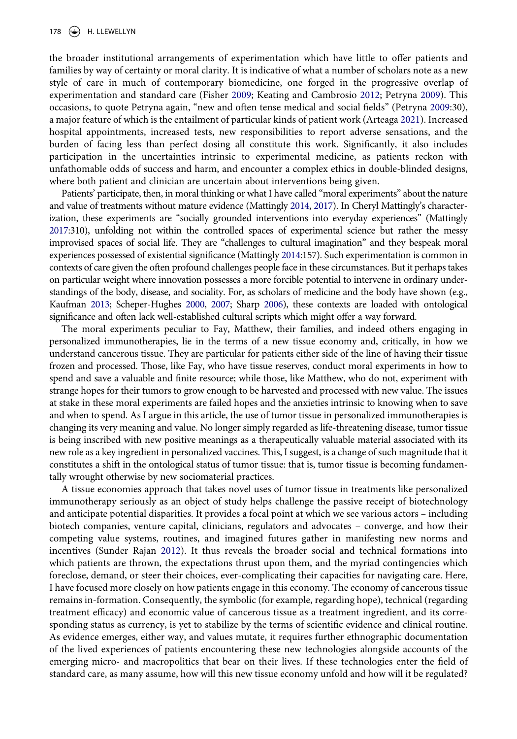<span id="page-10-1"></span><span id="page-10-0"></span>the broader institutional arrangements of experimentation which have little to offer patients and families by way of certainty or moral clarity. It is indicative of what a number of scholars note as a new style of care in much of contemporary biomedicine, one forged in the progressive overlap of experimentation and standard care (Fisher [2009](#page-13-18); Keating and Cambrosio [2012](#page-13-19); Petryna [2009](#page-14-2)). This occasions, to quote Petryna again, "new and often tense medical and social fields" (Petryna [2009](#page-14-2):30), a major feature of which is the entailment of particular kinds of patient work (Arteaga [2021\)](#page-13-20). Increased hospital appointments, increased tests, new responsibilities to report adverse sensations, and the burden of facing less than perfect dosing all constitute this work. Significantly, it also includes participation in the uncertainties intrinsic to experimental medicine, as patients reckon with unfathomable odds of success and harm, and encounter a complex ethics in double-blinded designs, where both patient and clinician are uncertain about interventions being given.

<span id="page-10-2"></span>Patients' participate, then, in moral thinking or what I have called "moral experiments" about the nature and value of treatments without mature evidence (Mattingly [2014](#page-13-17), [2017](#page-13-21)). In Cheryl Mattingly's characterization, these experiments are "socially grounded interventions into everyday experiences" (Mattingly [2017](#page-13-21):310), unfolding not within the controlled spaces of experimental science but rather the messy improvised spaces of social life. They are "challenges to cultural imagination" and they bespeak moral experiences possessed of existential significance (Mattingly [2014:](#page-13-17)157). Such experimentation is common in contexts of care given the often profound challenges people face in these circumstances. But it perhaps takes on particular weight where innovation possesses a more forcible potential to intervene in ordinary understandings of the body, disease, and sociality. For, as scholars of medicine and the body have shown (e.g., Kaufman [2013;](#page-13-15) Scheper-Hughes [2000](#page-14-8), [2007](#page-14-7); Sharp [2006\)](#page-14-4), these contexts are loaded with ontological significance and often lack well-established cultural scripts which might offer a way forward.

The moral experiments peculiar to Fay, Matthew, their families, and indeed others engaging in personalized immunotherapies, lie in the terms of a new tissue economy and, critically, in how we understand cancerous tissue. They are particular for patients either side of the line of having their tissue frozen and processed. Those, like Fay, who have tissue reserves, conduct moral experiments in how to spend and save a valuable and finite resource; while those, like Matthew, who do not, experiment with strange hopes for their tumors to grow enough to be harvested and processed with new value. The issues at stake in these moral experiments are failed hopes and the anxieties intrinsic to knowing when to save and when to spend. As I argue in this article, the use of tumor tissue in personalized immunotherapies is changing its very meaning and value. No longer simply regarded as life-threatening disease, tumor tissue is being inscribed with new positive meanings as a therapeutically valuable material associated with its new role as a key ingredient in personalized vaccines. This, I suggest, is a change of such magnitude that it constitutes a shift in the ontological status of tumor tissue: that is, tumor tissue is becoming fundamentally wrought otherwise by new sociomaterial practices.

A tissue economies approach that takes novel uses of tumor tissue in treatments like personalized immunotherapy seriously as an object of study helps challenge the passive receipt of biotechnology and anticipate potential disparities. It provides a focal point at which we see various actors – including biotech companies, venture capital, clinicians, regulators and advocates – converge, and how their competing value systems, routines, and imagined futures gather in manifesting new norms and incentives (Sunder Rajan [2012](#page-14-10)). It thus reveals the broader social and technical formations into which patients are thrown, the expectations thrust upon them, and the myriad contingencies which foreclose, demand, or steer their choices, ever-complicating their capacities for navigating care. Here, I have focused more closely on how patients engage in this economy. The economy of cancerous tissue remains in-formation. Consequently, the symbolic (for example, regarding hope), technical (regarding treatment efficacy) and economic value of cancerous tissue as a treatment ingredient, and its corresponding status as currency, is yet to stabilize by the terms of scientific evidence and clinical routine. As evidence emerges, either way, and values mutate, it requires further ethnographic documentation of the lived experiences of patients encountering these new technologies alongside accounts of the emerging micro- and macropolitics that bear on their lives. If these technologies enter the field of standard care, as many assume, how will this new tissue economy unfold and how will it be regulated?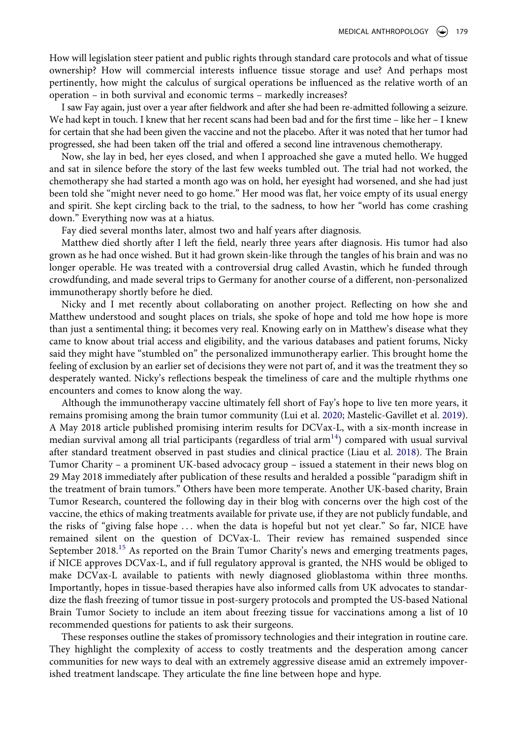How will legislation steer patient and public rights through standard care protocols and what of tissue ownership? How will commercial interests influence tissue storage and use? And perhaps most pertinently, how might the calculus of surgical operations be influenced as the relative worth of an operation – in both survival and economic terms – markedly increases?

I saw Fay again, just over a year after fieldwork and after she had been re-admitted following a seizure. We had kept in touch. I knew that her recent scans had been bad and for the first time – like her – I knew for certain that she had been given the vaccine and not the placebo. After it was noted that her tumor had progressed, she had been taken off the trial and offered a second line intravenous chemotherapy.

Now, she lay in bed, her eyes closed, and when I approached she gave a muted hello. We hugged and sat in silence before the story of the last few weeks tumbled out. The trial had not worked, the chemotherapy she had started a month ago was on hold, her eyesight had worsened, and she had just been told she "might never need to go home." Her mood was flat, her voice empty of its usual energy and spirit. She kept circling back to the trial, to the sadness, to how her "world has come crashing down." Everything now was at a hiatus.

Fay died several months later, almost two and half years after diagnosis.

Matthew died shortly after I left the field, nearly three years after diagnosis. His tumor had also grown as he had once wished. But it had grown skein-like through the tangles of his brain and was no longer operable. He was treated with a controversial drug called Avastin, which he funded through crowdfunding, and made several trips to Germany for another course of a different, non-personalized immunotherapy shortly before he died.

Nicky and I met recently about collaborating on another project. Reflecting on how she and Matthew understood and sought places on trials, she spoke of hope and told me how hope is more than just a sentimental thing; it becomes very real. Knowing early on in Matthew's disease what they came to know about trial access and eligibility, and the various databases and patient forums, Nicky said they might have "stumbled on" the personalized immunotherapy earlier. This brought home the feeling of exclusion by an earlier set of decisions they were not part of, and it was the treatment they so desperately wanted. Nicky's reflections bespeak the timeliness of care and the multiple rhythms one encounters and comes to know along the way.

<span id="page-11-0"></span>Although the immunotherapy vaccine ultimately fell short of Fay's hope to live ten more years, it remains promising among the brain tumor community (Lui et al. [2020;](#page-13-22) Mastelic-Gavillet et al. [2019](#page-13-23)). A May 2018 article published promising interim results for DCVax-L, with a six-month increase in median survival among all trial participants (regardless of trial  $arm<sup>14</sup>$ ) compared with usual survival after standard treatment observed in past studies and clinical practice (Liau et al. [2018\)](#page-13-5). The Brain Tumor Charity – a prominent UK-based advocacy group – issued a statement in their news blog on 29 May 2018 immediately after publication of these results and heralded a possible "paradigm shift in the treatment of brain tumors." Others have been more temperate. Another UK-based charity, Brain Tumor Research, countered the following day in their blog with concerns over the high cost of the vaccine, the ethics of making treatments available for private use, if they are not publicly fundable, and the risks of "giving false hope . . . when the data is hopeful but not yet clear." So far, NICE have remained silent on the question of DCVax-L. Their review has remained suspended since September 2018.<sup>15</sup> As reported on the Brain Tumor Charity's news and emerging treatments pages, if NICE approves DCVax-L, and if full regulatory approval is granted, the NHS would be obliged to make DCVax-L available to patients with newly diagnosed glioblastoma within three months. Importantly, hopes in tissue-based therapies have also informed calls from UK advocates to standardize the flash freezing of tumor tissue in post-surgery protocols and prompted the US-based National Brain Tumor Society to include an item about freezing tissue for vaccinations among a list of 10 recommended questions for patients to ask their surgeons.

These responses outline the stakes of promissory technologies and their integration in routine care. They highlight the complexity of access to costly treatments and the desperation among cancer communities for new ways to deal with an extremely aggressive disease amid an extremely impoverished treatment landscape. They articulate the fine line between hope and hype.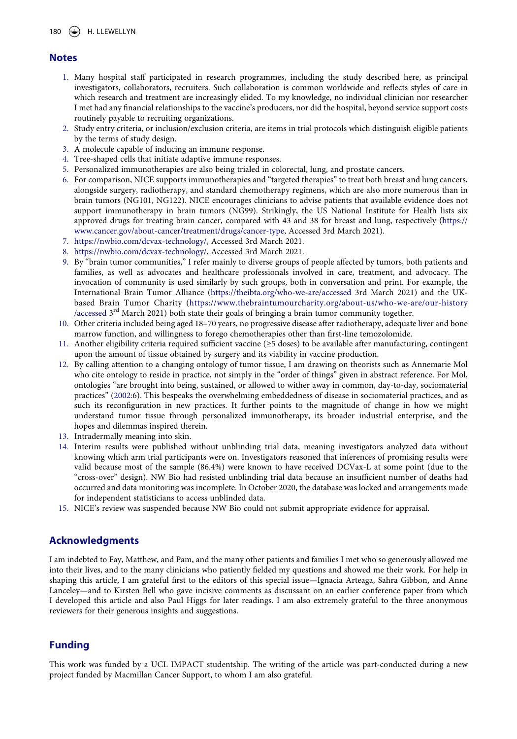### **Notes**

- <span id="page-12-0"></span>1. Many hospital staff participated in research programmes, including the study described here, as principal investigators, collaborators, recruiters. Such collaboration is common worldwide and reflects styles of care in which research and treatment are increasingly elided. To my knowledge, no individual clinician nor researcher I met had any financial relationships to the vaccine's producers, nor did the hospital, beyond service support costs routinely payable to recruiting organizations.
- <span id="page-12-1"></span>2. Study entry criteria, or inclusion/exclusion criteria, are items in trial protocols which distinguish eligible patients by the terms of study design.
- <span id="page-12-2"></span>3. A molecule capable of inducing an immune response.
- <span id="page-12-3"></span>4. Tree-shaped cells that initiate adaptive immune responses.
- <span id="page-12-4"></span>5. Personalized immunotherapies are also being trialed in colorectal, lung, and prostate cancers.
- <span id="page-12-5"></span>6. For comparison, NICE supports immunotherapies and "targeted therapies" to treat both breast and lung cancers, alongside surgery, radiotherapy, and standard chemotherapy regimens, which are also more numerous than in brain tumors (NG101, NG122). NICE encourages clinicians to advise patients that available evidence does not support immunotherapy in brain tumors (NG99). Strikingly, the US National Institute for Health lists six approved drugs for treating brain cancer, compared with 43 and 38 for breast and lung, respectively [\(https://](https://www.cancer.gov/about-cancer/treatment/drugs/cancer-type) [www.cancer.gov/about-cancer/treatment/drugs/cancer-type,](https://www.cancer.gov/about-cancer/treatment/drugs/cancer-type) Accessed 3rd March 2021).
- <span id="page-12-6"></span>7. <https://nwbio.com/dcvax-technology/>, Accessed 3rd March 2021.
- <span id="page-12-7"></span>8. <https://nwbio.com/dcvax-technology/>, Accessed 3rd March 2021.
- <span id="page-12-8"></span>9. By "brain tumor communities," I refer mainly to diverse groups of people affected by tumors, both patients and families, as well as advocates and healthcare professionals involved in care, treatment, and advocacy. The invocation of community is used similarly by such groups, both in conversation and print. For example, the International Brain Tumor Alliance [\(https://theibta.org/who-we-are/accessed](https://theibta.org/who-we-are/accessed) 3rd March 2021) and the UKbased Brain Tumor Charity ([https://www.thebraintumourcharity.org/about-us/who-we-are/our-history](https://www.thebraintumourcharity.org/about-us/who-we-are/our-history/accessed) [/accessed](https://www.thebraintumourcharity.org/about-us/who-we-are/our-history/accessed) 3<sup>rd</sup> March 2021) both state their goals of bringing a brain tumor community together.
- <span id="page-12-9"></span>10. Other criteria included being aged 18–70 years, no progressive disease after radiotherapy, adequate liver and bone marrow function, and willingness to forego chemotherapies other than first-line temozolomide.
- <span id="page-12-10"></span>11. Another eligibility criteria required sufficient vaccine (≥5 doses) to be available after manufacturing, contingent upon the amount of tissue obtained by surgery and its viability in vaccine production.
- <span id="page-12-15"></span><span id="page-12-11"></span>12. By calling attention to a changing ontology of tumor tissue, I am drawing on theorists such as Annemarie Mol who cite ontology to reside in practice, not simply in the "order of things" given in abstract reference. For Mol, ontologies "are brought into being, sustained, or allowed to wither away in common, day-to-day, sociomaterial practices" [\(2002](#page-13-24):6). This bespeaks the overwhelming embeddedness of disease in sociomaterial practices, and as such its reconfiguration in new practices. It further points to the magnitude of change in how we might understand tumor tissue through personalized immunotherapy, its broader industrial enterprise, and the hopes and dilemmas inspired therein.
- <span id="page-12-12"></span>13. Intradermally meaning into skin.
- <span id="page-12-13"></span>14. Interim results were published without unblinding trial data, meaning investigators analyzed data without knowing which arm trial participants were on. Investigators reasoned that inferences of promising results were valid because most of the sample (86.4%) were known to have received DCVax-L at some point (due to the "cross-over" design). NW Bio had resisted unblinding trial data because an insufficient number of deaths had occurred and data monitoring was incomplete. In October 2020, the database was locked and arrangements made for independent statisticians to access unblinded data.
- <span id="page-12-14"></span>15. NICE's review was suspended because NW Bio could not submit appropriate evidence for appraisal.

### **Acknowledgments**

I am indebted to Fay, Matthew, and Pam, and the many other patients and families I met who so generously allowed me into their lives, and to the many clinicians who patiently fielded my questions and showed me their work. For help in shaping this article, I am grateful first to the editors of this special issue—Ignacia Arteaga, Sahra Gibbon, and Anne Lanceley—and to Kirsten Bell who gave incisive comments as discussant on an earlier conference paper from which I developed this article and also Paul Higgs for later readings. I am also extremely grateful to the three anonymous reviewers for their generous insights and suggestions.

## **Funding**

This work was funded by a UCL IMPACT studentship. The writing of the article was part-conducted during a new project funded by Macmillan Cancer Support, to whom I am also grateful.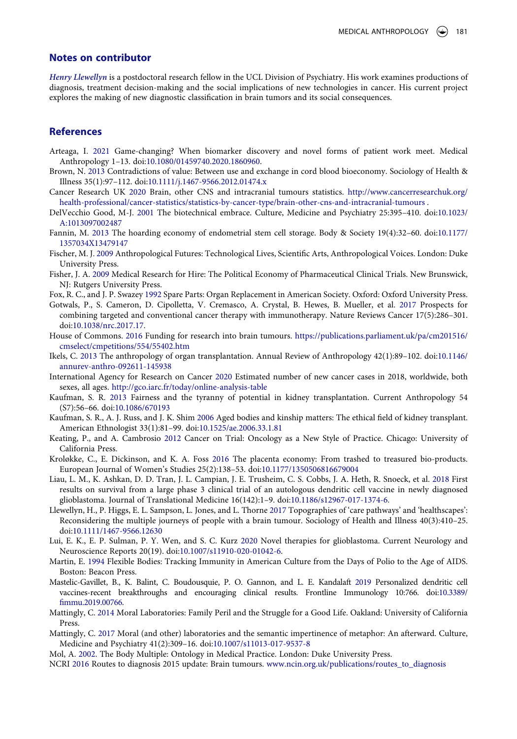#### **Notes on contributor**

*Henry Llewellyn* is a postdoctoral research fellow in the UCL Division of Psychiatry. His work examines productions of diagnosis, treatment decision-making and the social implications of new technologies in cancer. His current project explores the making of new diagnostic classification in brain tumors and its social consequences.

#### **References**

- <span id="page-13-20"></span>Arteaga, I. [2021](#page-10-0) Game-changing? When biomarker discovery and novel forms of patient work meet. Medical Anthropology 1–13. doi:[10.1080/01459740.2020.1860960](https://doi.org/10.1080/01459740.2020.1860960).
- <span id="page-13-8"></span>Brown, N. [2013](#page-3-0) Contradictions of value: Between use and exchange in cord blood bioeconomy. Sociology of Health & Illness 35(1):97–112. doi:[10.1111/j.1467-9566.2012.01474.x](https://doi.org/10.1111/j.1467-9566.2012.01474.x)
- <span id="page-13-4"></span>Cancer Research UK [2020](#page-3-1) Brain, other CNS and intracranial tumours statistics. [http://www.cancerresearchuk.org/](http://www.cancerresearchuk.org/health-professional/cancer-statistics/statistics-by-cancer-type/brain-other-cns-and-intracranial-tumours) [health-professional/cancer-statistics/statistics-by-cancer-type/brain-other-cns-and-intracranial-tumours](http://www.cancerresearchuk.org/health-professional/cancer-statistics/statistics-by-cancer-type/brain-other-cns-and-intracranial-tumours) .
- <span id="page-13-1"></span>DelVecchio Good, M-J. [2001](#page-2-0) The biotechnical embrace. Culture, Medicine and Psychiatry 25:395–410. doi:[10.1023/](https://doi.org/10.1023/A:1013097002487) [A:1013097002487](https://doi.org/10.1023/A:1013097002487)
- <span id="page-13-11"></span>Fannin, M. [2013](#page-5-0) The hoarding economy of endometrial stem cell storage. Body & Society 19(4):32–60. doi:[10.1177/](https://doi.org/10.1177/1357034X13479147) [1357034X13479147](https://doi.org/10.1177/1357034X13479147)
- <span id="page-13-9"></span>Fischer, M. J. [2009](#page-4-0) Anthropological Futures: Technological Lives, Scientific Arts, Anthropological Voices. London: Duke University Press.
- <span id="page-13-18"></span>Fisher, J. A. [2009](#page-10-1) Medical Research for Hire: The Political Economy of Pharmaceutical Clinical Trials. New Brunswick, NJ: Rutgers University Press.
- <span id="page-13-14"></span>Fox, R. C., and J. P. Swazey [1992](#page-5-1) Spare Parts: Organ Replacement in American Society. Oxford: Oxford University Press.
- <span id="page-13-10"></span>Gotwals, P., S. Cameron, D. Cipolletta, V. Cremasco, A. Crystal, B. Hewes, B. Mueller, et al. [2017](#page-5-2) Prospects for combining targeted and conventional cancer therapy with immunotherapy. Nature Reviews Cancer 17(5):286–301. doi:[10.1038/nrc.2017.17](https://doi.org/10.1038/nrc.2017.17).
- <span id="page-13-6"></span>House of Commons. [2016](#page-3-2) Funding for research into brain tumours. [https://publications.parliament.uk/pa/cm201516/](https://publications.parliament.uk/pa/cm201516/cmselect/cmpetitions/554/55402.htm) [cmselect/cmpetitions/554/55402.htm](https://publications.parliament.uk/pa/cm201516/cmselect/cmpetitions/554/55402.htm)
- <span id="page-13-16"></span>Ikels, C. [2013](#page-5-3) The anthropology of organ transplantation. Annual Review of Anthropology 42(1):89–102. doi:[10.1146/](https://doi.org/10.1146/annurev-anthro-092611-145938) [annurev-anthro-092611-145938](https://doi.org/10.1146/annurev-anthro-092611-145938)
- <span id="page-13-3"></span>International Agency for Research on Cancer [2020](#page-3-3) Estimated number of new cancer cases in 2018, worldwide, both sexes, all ages. <http://gco.iarc.fr/today/online-analysis-table>
- <span id="page-13-15"></span>Kaufman, S. R. [2013](#page-5-4) Fairness and the tyranny of potential in kidney transplantation. Current Anthropology 54 (S7):56–66. doi:[10.1086/670193](https://doi.org/10.1086/670193)
- <span id="page-13-13"></span>Kaufman, S. R., A. J. Russ, and J. K. Shim [2006](#page-5-5) Aged bodies and kinship matters: The ethical field of kidney transplant. American Ethnologist 33(1):81–99. doi:[10.1525/ae.2006.33.1.81](https://doi.org/10.1525/ae.2006.33.1.81)
- <span id="page-13-19"></span>Keating, P., and A. Cambrosio [2012](#page-10-1) Cancer on Trial: Oncology as a New Style of Practice. Chicago: University of California Press.
- <span id="page-13-12"></span>Kroløkke, C., E. Dickinson, and K. A. Foss [2016](#page-5-6) The placenta economy: From trashed to treasured bio-products. European Journal of Women's Studies 25(2):138–53. doi:[10.1177/1350506816679004](https://doi.org/10.1177/1350506816679004)
- <span id="page-13-5"></span>Liau, L. M., K. Ashkan, D. D. Tran, J. L. Campian, J. E. Trusheim, C. S. Cobbs, J. A. Heth, R. Snoeck, et al. [2018](#page-3-4) First results on survival from a large phase 3 clinical trial of an autologous dendritic cell vaccine in newly diagnosed glioblastoma. Journal of Translational Medicine 16(142):1–9. doi:[10.1186/s12967-017-1374-6.](https://doi.org/10.1186/s12967-017-1374-6)
- <span id="page-13-2"></span>Llewellyn, H., P. Higgs, E. L. Sampson, L. Jones, and L. Thorne [2017](#page-2-1) Topographies of 'care pathways' and 'healthscapes': Reconsidering the multiple journeys of people with a brain tumour. Sociology of Health and Illness 40(3):410–25. doi:[10.1111/1467-9566.12630](https://doi.org/10.1111/1467-9566.12630)
- <span id="page-13-22"></span>Lui, E. K., E. P. Sulman, P. Y. Wen, and S. C. Kurz [2020](#page-11-0) Novel therapies for glioblastoma. Current Neurology and Neuroscience Reports 20(19). doi:[10.1007/s11910-020-01042-6.](https://doi.org/10.1007/s11910-020-01042-6)
- <span id="page-13-0"></span>Martin, E. [1994](#page-2-2) Flexible Bodies: Tracking Immunity in American Culture from the Days of Polio to the Age of AIDS. Boston: Beacon Press.
- <span id="page-13-23"></span>Mastelic-Gavillet, B., K. Balint, C. Boudousquie, P. O. Gannon, and L. E. Kandalaft [2019](#page-11-0) Personalized dendritic cell vaccines-recent breakthroughs and encouraging clinical results. Frontline Immunology 10:766. doi:[10.3389/](https://doi.org/10.3389/fimmu.2019.00766)  [fimmu.2019.00766](https://doi.org/10.3389/fimmu.2019.00766).
- <span id="page-13-17"></span>Mattingly, C. [2014](#page-6-0) Moral Laboratories: Family Peril and the Struggle for a Good Life. Oakland: University of California Press.
- <span id="page-13-21"></span>Mattingly, C. [2017](#page-10-2) Moral (and other) laboratories and the semantic impertinence of metaphor: An afterward. Culture, Medicine and Psychiatry 41(2):309–16. doi:[10.1007/s11013-017-9537-8](https://doi.org/10.1007/s11013-017-9537-8)
- <span id="page-13-24"></span>Mol, A. [2002.](#page-12-15) The Body Multiple: Ontology in Medical Practice. London: Duke University Press.
- <span id="page-13-7"></span>NCRI [2016](#page-3-5) Routes to diagnosis 2015 update: Brain tumours. [www.ncin.org.uk/publications/routes\\_to\\_diagnosis](http://www.ncin.org.uk/publications/routes_to_diagnosis)